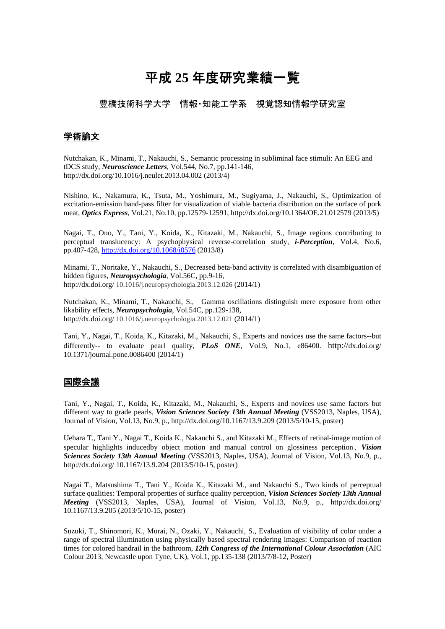# 平成 **25** 年度研究業績一覧

豊橋技術科学大学 情報・知能工学系 視覚認知情報学研究室

### 学術論文

Nutchakan, K., Minami, T., Nakauchi, S., Semantic processing in subliminal face stimuli: An EEG and tDCS study, *Neuroscience Letters*, Vol.544, No.7, pp.141-146, http://dx.doi.org/10.1016/j.neulet.2013.04.002 (2013/4)

Nishino, K., Nakamura, K., Tsuta, M., Yoshimura, M., Sugiyama, J., Nakauchi, S., Optimization of excitation-emission band-pass filter for visualization of viable bacteria distribution on the surface of pork meat, *Optics Express*, Vol.21, No.10, pp.12579-12591, http://dx.doi.org/10.1364/OE.21.012579 (2013/5)

Nagai, T., Ono, Y., Tani, Y., Koida, K., Kitazaki, M., Nakauchi, S., Image regions contributing to perceptual translucency: A psychophysical reverse-correlation study, *i-Perception*, Vol.4, No.6, pp.407-428, http://dx.doi.org/10.1068/i0576 (2013/8)

Minami, T., Noritake, Y., Nakauchi, S., Decreased beta-band activity is correlated with disambiguation of hidden figures, *Neuropsychologia*, Vol.56C, pp.9-16, http://dx.doi.org/ 10.1016/j.neuropsychologia.2013.12.026 (2014/1)

Nutchakan, K., Minami, T., Nakauchi, S., Gamma oscillations distinguish mere exposure from other likability effects, *Neuropsychologia*, Vol.54C, pp.129-138, http://dx.doi.org/ 10.1016/j.neuropsychologia.2013.12.021 (2014/1)

Tani, Y., Nagai, T., Koida, K., Kitazaki, M., Nakauchi, S., Experts and novices use the same factors--but differently-- to evaluate pearl quality, *PLoS ONE*, Vol.9, No.1, e86400. http://dx.doi.org/ 10.1371/journal.pone.0086400 (2014/1)

## 国際会議

Tani, Y., Nagai, T., Koida, K., Kitazaki, M., Nakauchi, S., Experts and novices use same factors but different way to grade pearls, *Vision Sciences Society 13th Annual Meeting* (VSS2013, Naples, USA), Journal of Vision, Vol.13, No.9, p., http://dx.doi.org/10.1167/13.9.209 (2013/5/10-15, poster)

Uehara T., Tani Y., Nagai T., Koida K., Nakauchi S., and Kitazaki M., Effects of retinal-image motion of specular highlights inducedby object motion and manual control on glossiness perception、*Vision Sciences Society 13th Annual Meeting* (VSS2013, Naples, USA), Journal of Vision, Vol.13, No.9, p., http://dx.doi.org/ 10.1167/13.9.204 (2013/5/10-15, poster)

Nagai T., Matsushima T., Tani Y., Koida K., Kitazaki M., and Nakauchi S., Two kinds of perceptual surface qualities: Temporal properties of surface quality perception, *Vision Sciences Society 13th Annual Meeting* (VSS2013, Naples, USA), Journal of Vision, Vol.13, No.9, p., http://dx.doi.org/ 10.1167/13.9.205 (2013/5/10-15, poster)

Suzuki, T., Shinomori, K., Murai, N., Ozaki, Y., Nakauchi, S., Evaluation of visibility of color under a range of spectral illumination using physically based spectral rendering images: Comparison of reaction times for colored handrail in the bathroom, *12th Congress of the International Colour Association* (AIC Colour 2013, Newcastle upon Tyne, UK), Vol.1, pp.135-138 (2013/7/8-12, Poster)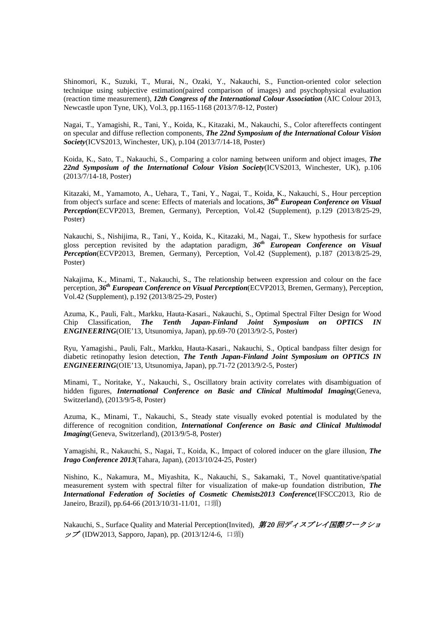Shinomori, K., Suzuki, T., Murai, N., Ozaki, Y., Nakauchi, S., Function-oriented color selection technique using subjective estimation(paired comparison of images) and psychophysical evaluation (reaction time measurement), *12th Congress of the International Colour Association* (AIC Colour 2013, Newcastle upon Tyne, UK), Vol.3, pp.1165-1168 (2013/7/8-12, Poster)

Nagai, T., Yamagishi, R., Tani, Y., Koida, K., Kitazaki, M., Nakauchi, S., Color aftereffects contingent on specular and diffuse reflection components, *The 22nd Symposium of the International Colour Vision Society*(ICVS2013, Winchester, UK), p.104 (2013/7/14-18, Poster)

Koida, K., Sato, T., Nakauchi, S., Comparing a color naming between uniform and object images, *The 22nd Symposium of the International Colour Vision Society*(ICVS2013, Winchester, UK), p.106 (2013/7/14-18, Poster)

Kitazaki, M., Yamamoto, A., Uehara, T., Tani, Y., Nagai, T., Koida, K., Nakauchi, S., Hour perception from object's surface and scene: Effects of materials and locations, *36th European Conference on Visual Perception*(ECVP2013, Bremen, Germany), Perception, Vol.42 (Supplement), p.129 (2013/8/25-29, Poster)

Nakauchi, S., Nishijima, R., Tani, Y., Koida, K., Kitazaki, M., Nagai, T., Skew hypothesis for surface gloss perception revisited by the adaptation paradigm, *36th European Conference on Visual Perception*(ECVP2013, Bremen, Germany), Perception, Vol.42 (Supplement), p.187 (2013/8/25-29, Poster)

Nakajima, K., Minami, T., Nakauchi, S., The relationship between expression and colour on the face perception, *36th European Conference on Visual Perception*(ECVP2013, Bremen, Germany), Perception, Vol.42 (Supplement), p.192 (2013/8/25-29, Poster)

Azuma, K., Pauli, Falt., Markku, Hauta-Kasari., Nakauchi, S., Optimal Spectral Filter Design for Wood Chip Classification, *The Tenth Japan-Finland Joint Symposium on OPTICS IN ENGINEERING*(OIE'13, Utsunomiya, Japan), pp.69-70 (2013/9/2-5, Poster)

Ryu, Yamagishi., Pauli, Falt., Markku, Hauta-Kasari., Nakauchi, S., Optical bandpass filter design for diabetic retinopathy lesion detection, *The Tenth Japan-Finland Joint Symposium on OPTICS IN ENGINEERING*(OIE'13, Utsunomiya, Japan), pp.71-72 (2013/9/2-5, Poster)

Minami, T., Noritake, Y., Nakauchi, S., Oscillatory brain activity correlates with disambiguation of hidden figures, *International Conference on Basic and Clinical Multimodal Imaging*(Geneva, Switzerland), (2013/9/5-8, Poster)

Azuma, K., Minami, T., Nakauchi, S., Steady state visually evoked potential is modulated by the difference of recognition condition, *International Conference on Basic and Clinical Multimodal Imaging*(Geneva, Switzerland), (2013/9/5-8, Poster)

Yamagishi, R., Nakauchi, S., Nagai, T., Koida, K., Impact of colored inducer on the glare illusion, *The Irago Conference 2013*(Tahara, Japan), (2013/10/24-25, Poster)

Nishino, K., Nakamura, M., Miyashita, K., Nakauchi, S., Sakamaki, T., Novel quantitative/spatial measurement system with spectral filter for visualization of make-up foundation distribution, *The International Federation of Societies of Cosmetic Chemists2013 Conference*(IFSCC2013, Rio de Janeiro, Brazil), pp.64-66 (2013/10/31-11/01, 口頭)

Nakauchi, S., Surface Quality and Material Perception(Invited), 第 *20* 回ディスプレイ国際ワークショ ップ (IDW2013, Sapporo, Japan), pp. (2013/12/4-6, 口頭)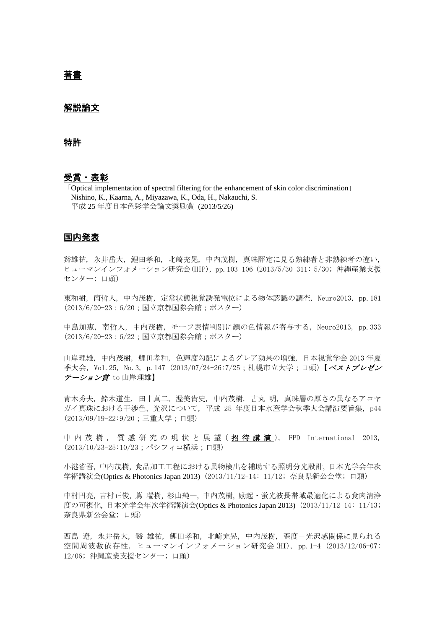# 著書

#### 解説論文

#### 特許

#### 受賞・表彰

「Optical implementation of spectral filtering for the enhancement of skin color discrimination」 Nishino, K., Kaarna, A., Miyazawa, K., Oda, H., Nakauchi, S. 平成 25 年度日本色彩学会論文奨励賞 (2013/5/26)

### 国内発表

谿雄祐, 永井岳大, 鯉田孝和, 北崎充晃, 中内茂樹, 真珠評定に見る熟練者と非熟練者の違い, ヒューマンインフォメーション研究会(HIP), pp.103-106 (2013/5/30-311: 5/30; 沖縄産業支援 センター; 口頭)

東和樹, 南哲人, 中内茂樹, 定常状態視覚誘発電位による物体認識の調査, Neuro2013, pp.181 (2013/6/20-23:6/20;国立京都国際会館;ポスター)

中島加惠, 南哲人, 中内茂樹, モーフ表情判別に顔の色情報が寄与する, Neuro2013, pp.333 (2013/6/20-23:6/22;国立京都国際会館;ポスター)

山岸理雄, 中内茂樹, 鯉田孝和, 色輝度勾配によるグレア効果の増強, 日本視覚学会 2013 年夏 季大会, Vol.25, No.3, p.147 (2013/07/24-26:7/25;札幌市立大学;口頭)【ベストプレゼン テーション賞 to 山岸理雄】

青木秀夫, 鈴木道生, 田中真二, 渥美貴史, 中内茂樹, 古丸 明, 真珠層の厚さの異なるアコヤ ガイ真珠における干渉色、光沢について, 平成 25 年度日本水産学会秋季大会講演要旨集, p44 (2013/09/19-22:9/20;三重大学;口頭)

中 内 茂 樹 , 質 感 研 究 の 現 状 と 展 望 ( **招 待 講 演**), FPD International 2013, (2013/10/23-25:10/23;パシフィコ横浜;口頭)

小港省吾, 中内茂樹, 食品加工工程における異物検出を補助する照明分光設計, 日本光学会年次 学術講演会(Optics & Photonics Japan 2013) (2013/11/12-14: 11/12; 奈良県新公会堂; 口頭)

中村円亮, 吉村正俊, 蔦 瑞樹, 杉山純一, 中内茂樹, 励起・蛍光波長帯域最適化による食肉清浄 度の可視化, 日本光学会年次学術講演会(Optics & Photonics Japan 2013) (2013/11/12-14: 11/13; 奈良県新公会堂; 口頭)

西島 遼, 永井岳大, 谿 雄祐, 鯉田孝和, 北崎充晃, 中内茂樹, 歪度-光沢感関係に見られる 空間周波数依存性, ヒューマンインフォメーション研究会(HI), pp.1-4 (2013/12/06-07: 12/06; 沖縄産業支援センター; 口頭)